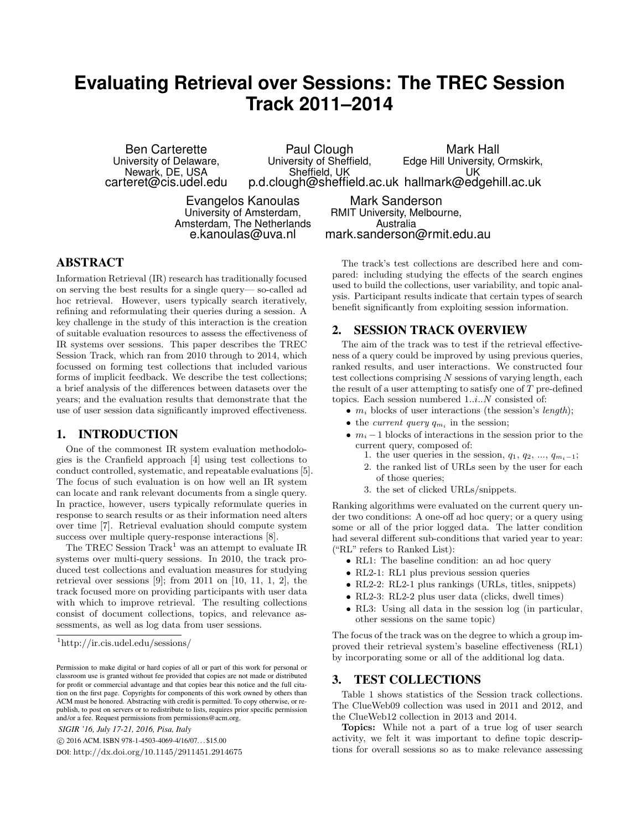# **Evaluating Retrieval over Sessions: The TREC Session Track 2011–2014**

Ben Carterette University of Delaware, Newark, DE, USA carteret@cis.udel.edu

Paul Clough University of Sheffield, Sheffield, UK p.d.clough@sheffield.ac.uk hallmark@edgehill.ac.uk Mark Hall Edge Hill University, Ormskirk, UK

Evangelos Kanoulas University of Amsterdam, Amsterdam, The Netherlands e.kanoulas@uva.nl

Mark Sanderson RMIT University, Melbourne, Australia mark.sanderson@rmit.edu.au

## ABSTRACT

Information Retrieval (IR) research has traditionally focused on serving the best results for a single query— so-called ad hoc retrieval. However, users typically search iteratively, refining and reformulating their queries during a session. A key challenge in the study of this interaction is the creation of suitable evaluation resources to assess the effectiveness of IR systems over sessions. This paper describes the TREC Session Track, which ran from 2010 through to 2014, which focussed on forming test collections that included various forms of implicit feedback. We describe the test collections; a brief analysis of the differences between datasets over the years; and the evaluation results that demonstrate that the use of user session data significantly improved effectiveness.

## 1. INTRODUCTION

One of the commonest IR system evaluation methodologies is the Cranfield approach [4] using test collections to conduct controlled, systematic, and repeatable evaluations [5]. The focus of such evaluation is on how well an IR system can locate and rank relevant documents from a single query. In practice, however, users typically reformulate queries in response to search results or as their information need alters over time [7]. Retrieval evaluation should compute system success over multiple query-response interactions [8].

The TREC Session  $\text{Track}^1$  was an attempt to evaluate IR systems over multi-query sessions. In 2010, the track produced test collections and evaluation measures for studying retrieval over sessions  $[9]$ ; from 2011 on  $[10, 11, 1, 2]$ , the track focused more on providing participants with user data with which to improve retrieval. The resulting collections consist of document collections, topics, and relevance assessments, as well as log data from user sessions.

*SIGIR '16, July 17-21, 2016, Pisa, Italy*

DOI: http://dx.doi.org/10.1145/2911451.2914675

The track's test collections are described here and compared: including studying the effects of the search engines used to build the collections, user variability, and topic analysis. Participant results indicate that certain types of search benefit significantly from exploiting session information.

## 2. SESSION TRACK OVERVIEW

The aim of the track was to test if the retrieval effectiveness of a query could be improved by using previous queries, ranked results, and user interactions. We constructed four test collections comprising  $N$  sessions of varying length, each the result of a user attempting to satisfy one of  $T$  pre-defined topics. Each session numbered  $1..i..N$  consisted of:

- $m_i$  blocks of user interactions (the session's *length*);
- the *current query*  $q_{m_i}$  in the session;
- $m_i 1$  blocks of interactions in the session prior to the current query, composed of:
	- 1. the user queries in the session,  $q_1, q_2, ..., q_{m_i-1}$ ;
	- 2. the ranked list of URLs seen by the user for each of those queries;
	- 3. the set of clicked URLs/snippets.

Ranking algorithms were evaluated on the current query under two conditions: A one-off ad hoc query; or a query using some or all of the prior logged data. The latter condition had several different sub-conditions that varied year to year: ("RL" refers to Ranked List):

- RL1: The baseline condition: an ad hoc query
- RL2-1: RL1 plus previous session queries
- RL2-2: RL2-1 plus rankings (URLs, titles, snippets)
- RL2-3: RL2-2 plus user data (clicks, dwell times)
- RL3: Using all data in the session log (in particular, other sessions on the same topic)

The focus of the track was on the degree to which a group improved their retrieval system's baseline effectiveness (RL1) by incorporating some or all of the additional log data.

## 3. TEST COLLECTIONS

Table 1 shows statistics of the Session track collections. The ClueWeb09 collection was used in 2011 and 2012, and the ClueWeb12 collection in 2013 and 2014.

Topics: While not a part of a true log of user search activity, we felt it was important to define topic descriptions for overall sessions so as to make relevance assessing

<sup>1</sup>http://ir.cis.udel.edu/sessions/

Permission to make digital or hard copies of all or part of this work for personal or classroom use is granted without fee provided that copies are not made or distributed for profit or commercial advantage and that copies bear this notice and the full citation on the first page. Copyrights for components of this work owned by others than ACM must be honored. Abstracting with credit is permitted. To copy otherwise, or republish, to post on servers or to redistribute to lists, requires prior specific permission and/or a fee. Request permissions from permissions@acm.org.

c 2016 ACM. ISBN 978-1-4503-4069-4/16/07. . . \$15.00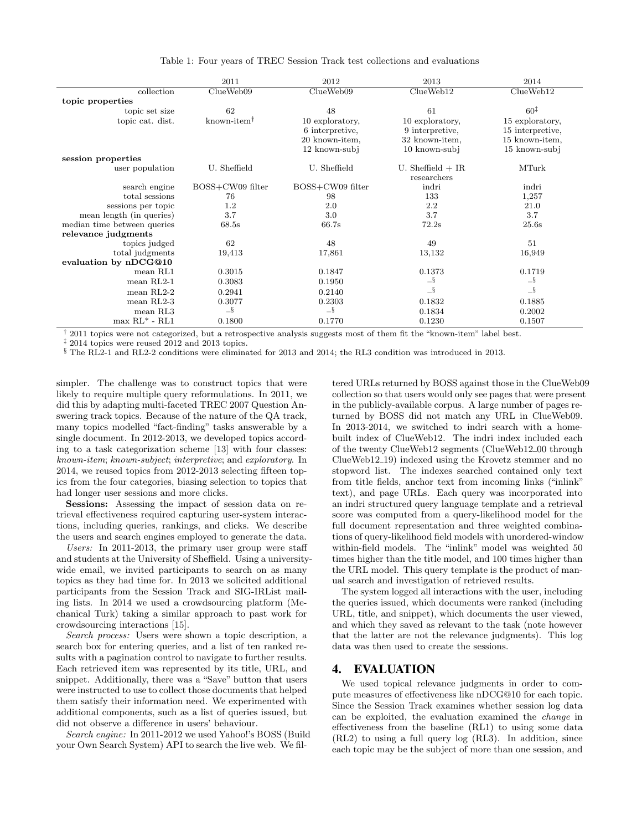|                             | 2011                                       | 2012             | 2013                | 2014             |
|-----------------------------|--------------------------------------------|------------------|---------------------|------------------|
| collection                  | ClueWeb09                                  | ClueWeb09        | ClueWeb12           | ClueWeb12        |
| topic properties            |                                            |                  |                     |                  |
| topic set size              | 62                                         | 48               | 61                  | $60^{\ddagger}$  |
| topic cat. dist.            | known-item <sup><math>\dagger</math></sup> | 10 exploratory,  | 10 exploratory,     | 15 exploratory,  |
|                             |                                            | 6 interpretive,  | 9 interpretive.     | 15 interpretive, |
|                             |                                            | 20 known-item,   | 32 known-item,      | 15 known-item,   |
|                             |                                            | 12 known-subj    | 10 known-subj       | 15 known-subj    |
| session properties          |                                            |                  |                     |                  |
| user population             | U. Sheffield                               | U. Sheffield     | U. Sheffield $+$ IR | MTurk            |
|                             |                                            |                  | researchers         |                  |
| search engine               | BOSS+CW09 filter                           | BOSS+CW09 filter | indri               | indri            |
| total sessions              | 76                                         | 98               | 133                 | 1,257            |
| sessions per topic          | 1.2                                        | 2.0              | 2.2                 | 21.0             |
| mean length (in queries)    | 3.7                                        | 3.0              | 3.7                 | 3.7              |
| median time between queries | 68.5s                                      | 66.7s            | 72.2s               | 25.6s            |
| relevance judgments         |                                            |                  |                     |                  |
| topics judged               | 62                                         | 48               | 49                  | 51               |
| total judgments             | 19,413                                     | 17,861           | 13,132              | 16,949           |
| evaluation by nDCG@10       |                                            |                  |                     |                  |
| mean RL1                    | 0.3015                                     | 0.1847           | 0.1373              | 0.1719           |
| $mean RL2-1$                | 0.3083                                     | 0.1950           | $-\S$               | $-\S$            |
| $mean RL2-2$                | 0.2941                                     | 0.2140           | $-\S$               | $-\S$            |
| $mean RL2-3$                | 0.3077                                     | 0.2303           | 0.1832              | 0.1885           |
| mean RL3                    | $-\S$                                      | $-\S$            | 0.1834              | 0.2002           |
| $max$ RL <sup>*</sup> - RL1 | 0.1800                                     | 0.1770           | 0.1230              | 0.1507           |

Table 1: Four years of TREC Session Track test collections and evaluations

† 2011 topics were not categorized, but a retrospective analysis suggests most of them fit the "known-item" label best.

 $\frac{1}{2}$  2014 topics were reused 2012 and 2013 topics.

§ The RL2-1 and RL2-2 conditions were eliminated for 2013 and 2014; the RL3 condition was introduced in 2013.

simpler. The challenge was to construct topics that were likely to require multiple query reformulations. In 2011, we did this by adapting multi-faceted TREC 2007 Question Answering track topics. Because of the nature of the QA track, many topics modelled "fact-finding" tasks answerable by a single document. In 2012-2013, we developed topics according to a task categorization scheme [13] with four classes: known-item; known-subject; interpretive; and exploratory. In 2014, we reused topics from 2012-2013 selecting fifteen topics from the four categories, biasing selection to topics that had longer user sessions and more clicks.

Sessions: Assessing the impact of session data on retrieval effectiveness required capturing user-system interactions, including queries, rankings, and clicks. We describe the users and search engines employed to generate the data.

Users: In 2011-2013, the primary user group were staff and students at the University of Sheffield. Using a universitywide email, we invited participants to search on as many topics as they had time for. In 2013 we solicited additional participants from the Session Track and SIG-IRList mailing lists. In 2014 we used a crowdsourcing platform (Mechanical Turk) taking a similar approach to past work for crowdsourcing interactions [15].

Search process: Users were shown a topic description, a search box for entering queries, and a list of ten ranked results with a pagination control to navigate to further results. Each retrieved item was represented by its title, URL, and snippet. Additionally, there was a "Save" button that users were instructed to use to collect those documents that helped them satisfy their information need. We experimented with additional components, such as a list of queries issued, but did not observe a difference in users' behaviour.

Search engine: In 2011-2012 we used Yahoo!'s BOSS (Build your Own Search System) API to search the live web. We filtered URLs returned by BOSS against those in the ClueWeb09 collection so that users would only see pages that were present in the publicly-available corpus. A large number of pages returned by BOSS did not match any URL in ClueWeb09. In 2013-2014, we switched to indri search with a homebuilt index of ClueWeb12. The indri index included each of the twenty ClueWeb12 segments (ClueWeb12 00 through ClueWeb12 19) indexed using the Krovetz stemmer and no stopword list. The indexes searched contained only text from title fields, anchor text from incoming links ("inlink" text), and page URLs. Each query was incorporated into an indri structured query language template and a retrieval score was computed from a query-likelihood model for the full document representation and three weighted combinations of query-likelihood field models with unordered-window within-field models. The "inlink" model was weighted 50 times higher than the title model, and 100 times higher than the URL model. This query template is the product of manual search and investigation of retrieved results.

The system logged all interactions with the user, including the queries issued, which documents were ranked (including URL, title, and snippet), which documents the user viewed, and which they saved as relevant to the task (note however that the latter are not the relevance judgments). This log data was then used to create the sessions.

## 4. EVALUATION

We used topical relevance judgments in order to compute measures of effectiveness like nDCG@10 for each topic. Since the Session Track examines whether session log data can be exploited, the evaluation examined the change in effectiveness from the baseline (RL1) to using some data (RL2) to using a full query log (RL3). In addition, since each topic may be the subject of more than one session, and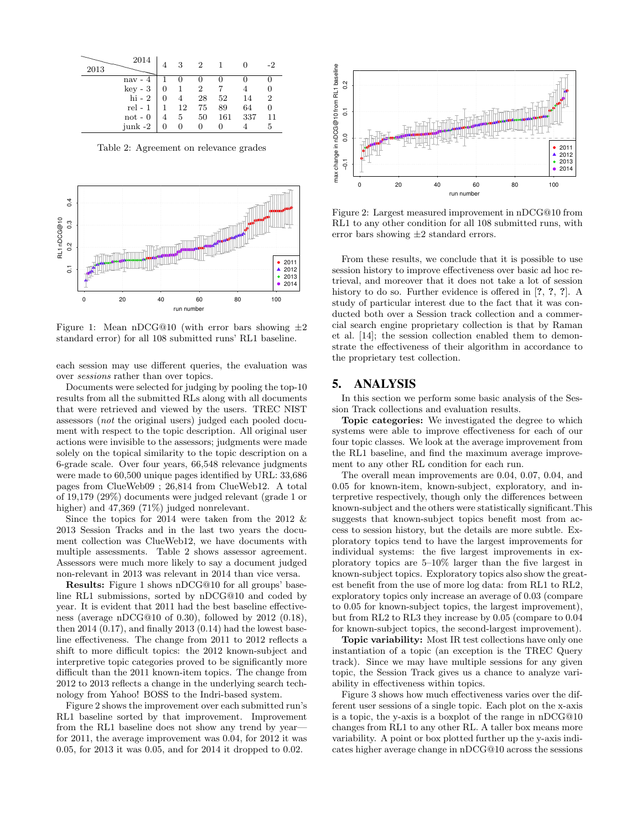| 2013 | 2014      |   | 3               | $\mathcal{D}_{\mathcal{L}}$ |     |     | -2             |
|------|-----------|---|-----------------|-----------------------------|-----|-----|----------------|
|      | $nav -$   |   |                 |                             |     |     |                |
|      | key - 3   | 0 |                 | 2                           |     |     |                |
|      | $hi - 2$  | 0 | 4               | 28                          | 52  | 14  | $\overline{2}$ |
|      | $rel - 1$ |   | 12              | 75                          | 89  | 64  |                |
|      | $not - 0$ | 4 | $5\phantom{.0}$ | 50                          | 161 | 337 | 11             |
|      | junk -2   |   |                 |                             |     |     | 5              |

Table 2: Agreement on relevance grades



Figure 1: Mean nDCG@10 (with error bars showing  $\pm 2$ standard error) for all 108 submitted runs' RL1 baseline.

each session may use different queries, the evaluation was over sessions rather than over topics.

Documents were selected for judging by pooling the top-10 results from all the submitted RLs along with all documents that were retrieved and viewed by the users. TREC NIST assessors (not the original users) judged each pooled document with respect to the topic description. All original user actions were invisible to the assessors; judgments were made solely on the topical similarity to the topic description on a 6-grade scale. Over four years, 66,548 relevance judgments were made to 60,500 unique pages identified by URL: 33,686 pages from ClueWeb09 ; 26,814 from ClueWeb12. A total of 19,179 (29%) documents were judged relevant (grade 1 or higher) and 47,369 (71%) judged nonrelevant.

Since the topics for 2014 were taken from the 2012 & 2013 Session Tracks and in the last two years the document collection was ClueWeb12, we have documents with multiple assessments. Table 2 shows assessor agreement. Assessors were much more likely to say a document judged non-relevant in 2013 was relevant in 2014 than vice versa.

Results: Figure 1 shows nDCG@10 for all groups' baseline RL1 submissions, sorted by nDCG@10 and coded by year. It is evident that 2011 had the best baseline effectiveness (average nDCG@10 of 0.30), followed by 2012 (0.18), then  $2014 (0.17)$ , and finally  $2013 (0.14)$  had the lowest baseline effectiveness. The change from 2011 to 2012 reflects a shift to more difficult topics: the 2012 known-subject and interpretive topic categories proved to be significantly more difficult than the 2011 known-item topics. The change from 2012 to 2013 reflects a change in the underlying search technology from Yahoo! BOSS to the Indri-based system.

Figure 2 shows the improvement over each submitted run's RL1 baseline sorted by that improvement. Improvement from the RL1 baseline does not show any trend by year for 2011, the average improvement was 0.04, for 2012 it was 0.05, for 2013 it was 0.05, and for 2014 it dropped to 0.02.



Figure 2: Largest measured improvement in nDCG@10 from RL1 to any other condition for all 108 submitted runs, with error bars showing  $\pm 2$  standard errors.

From these results, we conclude that it is possible to use session history to improve effectiveness over basic ad hoc retrieval, and moreover that it does not take a lot of session history to do so. Further evidence is offered in [?, ?, ?]. A study of particular interest due to the fact that it was conducted both over a Session track collection and a commercial search engine proprietary collection is that by Raman et al. [14]; the session collection enabled them to demonstrate the effectiveness of their algorithm in accordance to the proprietary test collection.

## 5. ANALYSIS

In this section we perform some basic analysis of the Session Track collections and evaluation results.

Topic categories: We investigated the degree to which systems were able to improve effectiveness for each of our four topic classes. We look at the average improvement from the RL1 baseline, and find the maximum average improvement to any other RL condition for each run.

The overall mean improvements are 0.04, 0.07, 0.04, and 0.05 for known-item, known-subject, exploratory, and interpretive respectively, though only the differences between known-subject and the others were statistically significant.This suggests that known-subject topics benefit most from access to session history, but the details are more subtle. Exploratory topics tend to have the largest improvements for individual systems: the five largest improvements in exploratory topics are 5–10% larger than the five largest in known-subject topics. Exploratory topics also show the greatest benefit from the use of more log data: from RL1 to RL2, exploratory topics only increase an average of 0.03 (compare to 0.05 for known-subject topics, the largest improvement), but from RL2 to RL3 they increase by 0.05 (compare to 0.04 for known-subject topics, the second-largest improvement).

Topic variability: Most IR test collections have only one instantiation of a topic (an exception is the TREC Query track). Since we may have multiple sessions for any given topic, the Session Track gives us a chance to analyze variability in effectiveness within topics.

Figure 3 shows how much effectiveness varies over the different user sessions of a single topic. Each plot on the x-axis is a topic, the y-axis is a boxplot of the range in nDCG@10 changes from RL1 to any other RL. A taller box means more variability. A point or box plotted further up the y-axis indicates higher average change in nDCG@10 across the sessions